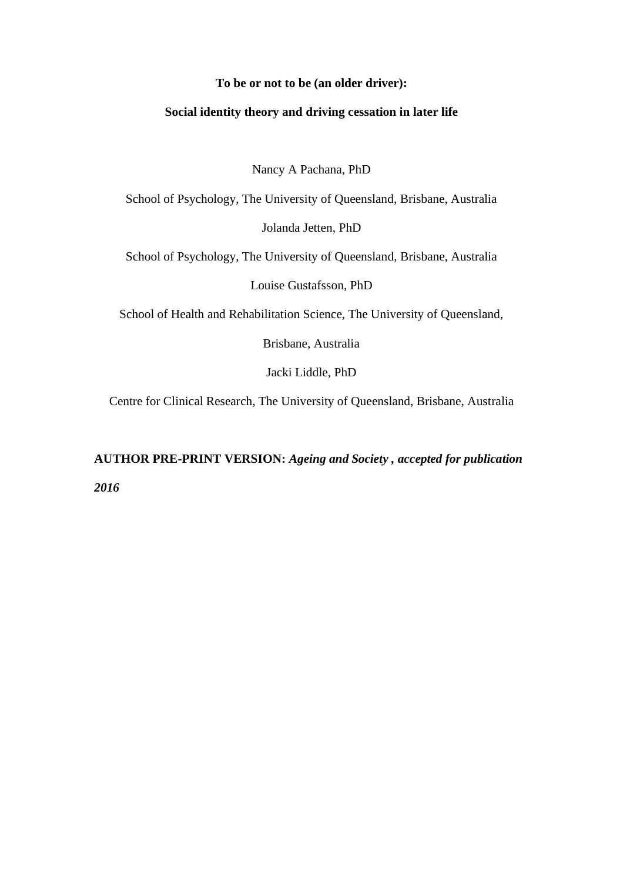### **To be or not to be (an older driver):**

### **Social identity theory and driving cessation in later life**

Nancy A Pachana, PhD

School of Psychology, The University of Queensland, Brisbane, Australia Jolanda Jetten, PhD

School of Psychology, The University of Queensland, Brisbane, Australia

Louise Gustafsson, PhD

School of Health and Rehabilitation Science, The University of Queensland,

Brisbane, Australia

Jacki Liddle, PhD

Centre for Clinical Research, The University of Queensland, Brisbane, Australia

**AUTHOR PRE-PRINT VERSION:** *Ageing and Society , accepted for publication 2016*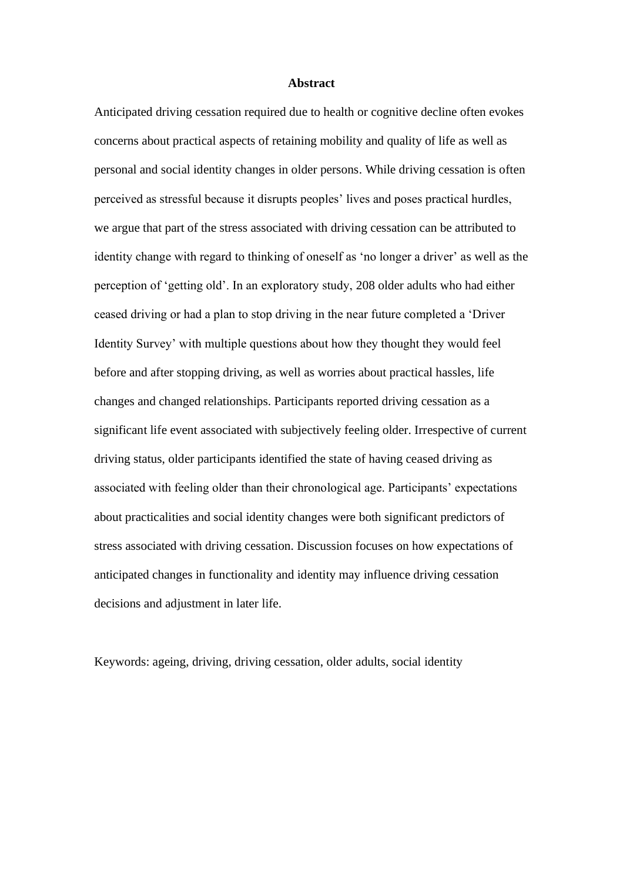#### **Abstract**

Anticipated driving cessation required due to health or cognitive decline often evokes concerns about practical aspects of retaining mobility and quality of life as well as personal and social identity changes in older persons. While driving cessation is often perceived as stressful because it disrupts peoples' lives and poses practical hurdles, we argue that part of the stress associated with driving cessation can be attributed to identity change with regard to thinking of oneself as 'no longer a driver' as well as the perception of 'getting old'. In an exploratory study, 208 older adults who had either ceased driving or had a plan to stop driving in the near future completed a 'Driver Identity Survey' with multiple questions about how they thought they would feel before and after stopping driving, as well as worries about practical hassles, life changes and changed relationships. Participants reported driving cessation as a significant life event associated with subjectively feeling older. Irrespective of current driving status, older participants identified the state of having ceased driving as associated with feeling older than their chronological age. Participants' expectations about practicalities and social identity changes were both significant predictors of stress associated with driving cessation. Discussion focuses on how expectations of anticipated changes in functionality and identity may influence driving cessation decisions and adjustment in later life.

Keywords: ageing, driving, driving cessation, older adults, social identity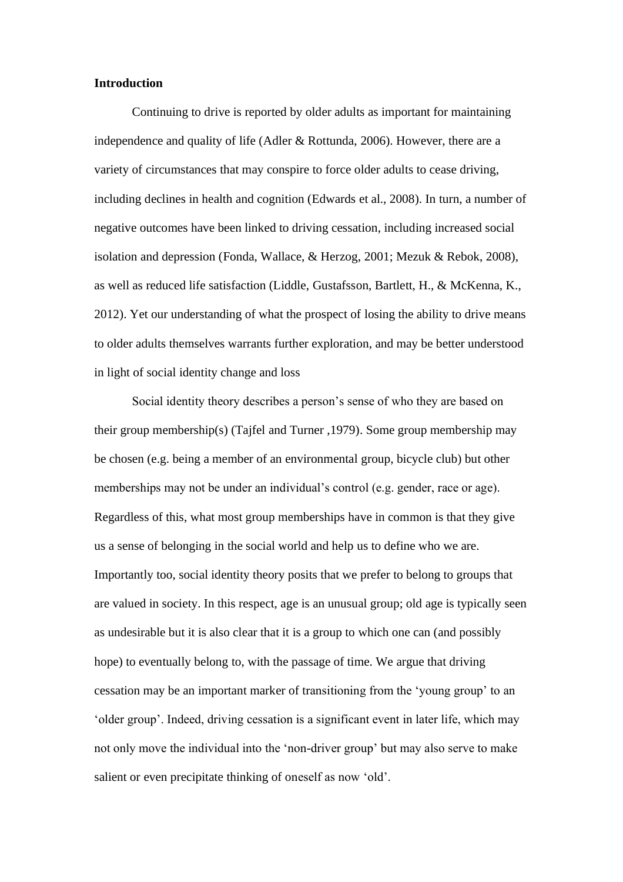#### **Introduction**

Continuing to drive is reported by older adults as important for maintaining independence and quality of life (Adler & Rottunda, 2006). However, there are a variety of circumstances that may conspire to force older adults to cease driving, including declines in health and cognition (Edwards et al., 2008). In turn, a number of negative outcomes have been linked to driving cessation, including increased social isolation and depression (Fonda, Wallace, & Herzog, 2001; Mezuk & Rebok, 2008), as well as reduced life satisfaction (Liddle, Gustafsson, Bartlett, H., & McKenna, K., 2012). Yet our understanding of what the prospect of losing the ability to drive means to older adults themselves warrants further exploration, and may be better understood in light of social identity change and loss

Social identity theory describes a person's sense of who they are based on their group membership(s) (Tajfel and Turner ,1979). Some group membership may be chosen (e.g. being a member of an environmental group, bicycle club) but other memberships may not be under an individual's control (e.g. gender, race or age). Regardless of this, what most group memberships have in common is that they give us a sense of belonging in the social world and help us to define who we are. Importantly too, social identity theory posits that we prefer to belong to groups that are valued in society. In this respect, age is an unusual group; old age is typically seen as undesirable but it is also clear that it is a group to which one can (and possibly hope) to eventually belong to, with the passage of time. We argue that driving cessation may be an important marker of transitioning from the 'young group' to an 'older group'. Indeed, driving cessation is a significant event in later life, which may not only move the individual into the 'non-driver group' but may also serve to make salient or even precipitate thinking of oneself as now 'old'.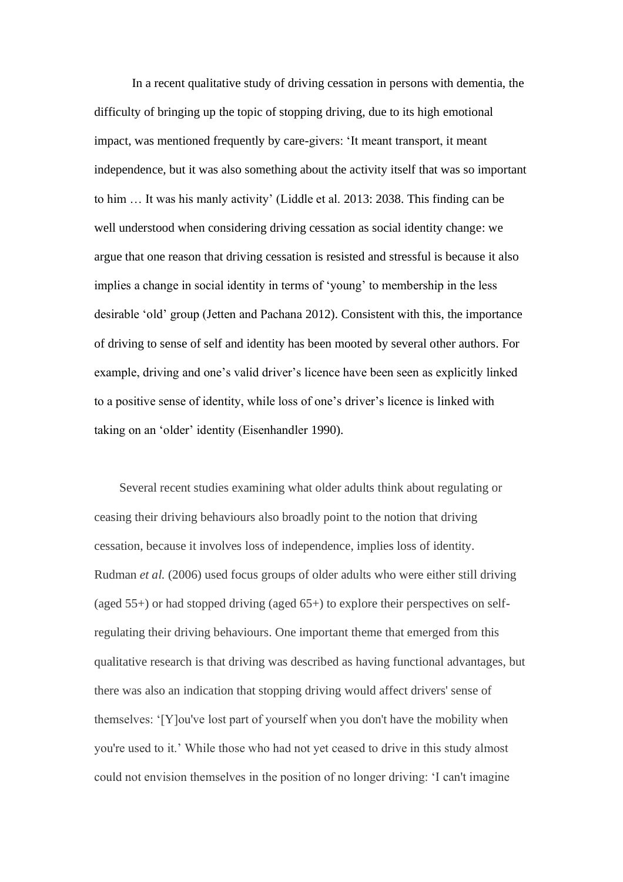In a recent qualitative study of driving cessation in persons with dementia, the difficulty of bringing up the topic of stopping driving, due to its high emotional impact, was mentioned frequently by care-givers: 'It meant transport, it meant independence, but it was also something about the activity itself that was so important to him … It was his manly activity' (Liddle et al. 2013: 2038. This finding can be well understood when considering driving cessation as social identity change: we argue that one reason that driving cessation is resisted and stressful is because it also implies a change in social identity in terms of 'young' to membership in the less desirable 'old' group (Jetten and Pachana 2012). Consistent with this, the importance of driving to sense of self and identity has been mooted by several other authors. For example, driving and one's valid driver's licence have been seen as explicitly linked to a positive sense of identity, while loss of one's driver's licence is linked with taking on an 'older' identity (Eisenhandler 1990).

Several recent studies examining what older adults think about regulating or ceasing their driving behaviours also broadly point to the notion that driving cessation, because it involves loss of independence, implies loss of identity. Rudman *et al.* (2006) used focus groups of older adults who were either still driving (aged  $55+$ ) or had stopped driving (aged  $65+$ ) to explore their perspectives on selfregulating their driving behaviours. One important theme that emerged from this qualitative research is that driving was described as having functional advantages, but there was also an indication that stopping driving would affect drivers' sense of themselves: '[Y]ou've lost part of yourself when you don't have the mobility when you're used to it.' While those who had not yet ceased to drive in this study almost could not envision themselves in the position of no longer driving: 'I can't imagine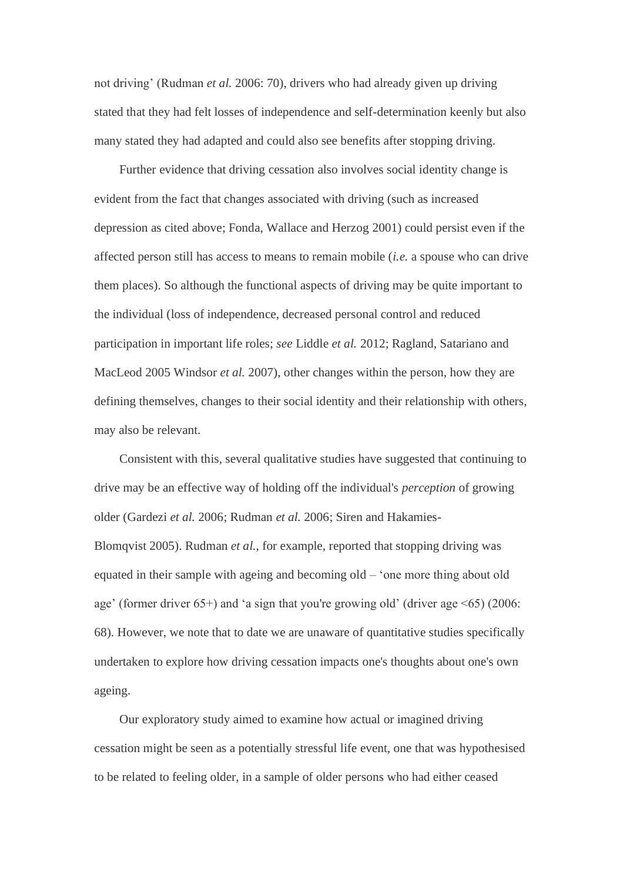not driving' (Rudman *et al.* 2006: 70), drivers who had already given up driving stated that they had felt losses of independence and self-determination keenly but also many stated they had adapted and could also see benefits after stopping driving.

Further evidence that driving cessation also involves social identity change is evident from the fact that changes associated with driving (such as increased depression as cited above; Fonda, Wallace and Herzog 2001) could persist even if the affected person still has access to means to remain mobile (*i.e.* a spouse who can drive them places). So although the functional aspects of driving may be quite important to the individual (loss of independence, decreased personal control and reduced participation in important life roles; *see* Liddle *et al.* 2012; Ragland, Satariano and MacLeod 2005 Windsor *et al.* 2007), other changes within the person, how they are defining themselves, changes to their social identity and their relationship with others, may also be relevant.

Consistent with this, several qualitative studies have suggested that continuing to drive may be an effective way of holding off the individual's *perception* of growing older (Gardezi *et al.* 2006; Rudman *et al.* 2006; Siren and Hakamies-Blomqvist 2005). Rudman *et al.*, for example, reported that stopping driving was equated in their sample with ageing and becoming old – 'one more thing about old age' (former driver 65+) and 'a sign that you're growing old' (driver age <65) (2006: 68). However, we note that to date we are unaware of quantitative studies specifically undertaken to explore how driving cessation impacts one's thoughts about one's own ageing.

Our exploratory study aimed to examine how actual or imagined driving cessation might be seen as a potentially stressful life event, one that was hypothesised to be related to feeling older, in a sample of older persons who had either ceased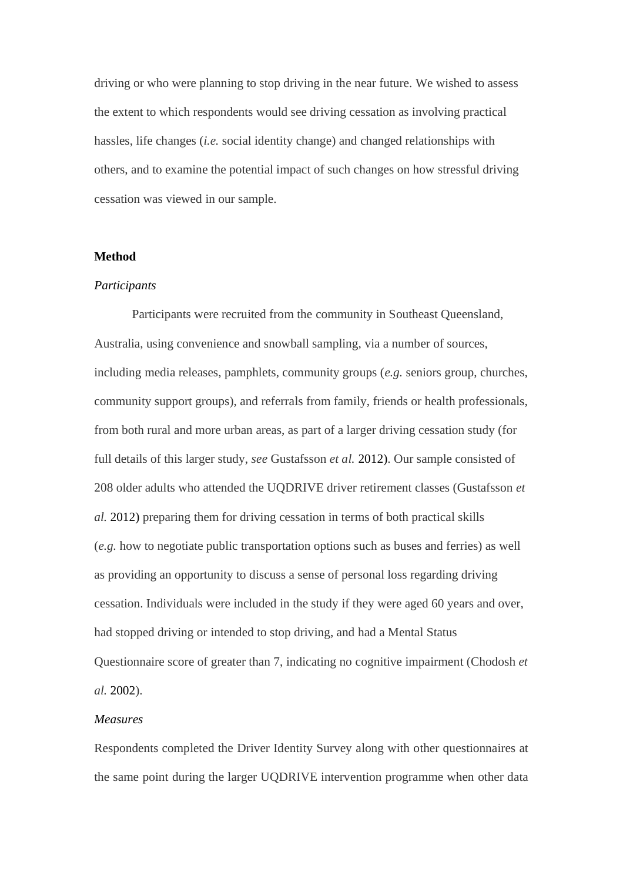driving or who were planning to stop driving in the near future. We wished to assess the extent to which respondents would see driving cessation as involving practical hassles, life changes (*i.e.* social identity change) and changed relationships with others, and to examine the potential impact of such changes on how stressful driving cessation was viewed in our sample.

### **Method**

#### *Participants*

Participants were recruited from the community in Southeast Queensland, Australia, using convenience and snowball sampling, via a number of sources, including media releases, pamphlets, community groups (*e.g.* seniors group, churches, community support groups), and referrals from family, friends or health professionals, from both rural and more urban areas, as part of a larger driving cessation study (for full details of this larger study, *see* Gustafsson *et al.* 2012). Our sample consisted of 208 older adults who attended the UQDRIVE driver retirement classes (Gustafsson *et al.* 2012) preparing them for driving cessation in terms of both practical skills (*e.g.* how to negotiate public transportation options such as buses and ferries) as well as providing an opportunity to discuss a sense of personal loss regarding driving cessation. Individuals were included in the study if they were aged 60 years and over, had stopped driving or intended to stop driving, and had a Mental Status Questionnaire score of greater than 7, indicating no cognitive impairment (Chodosh *et al.* 2002).

# *Measures*

Respondents completed the Driver Identity Survey along with other questionnaires at the same point during the larger UQDRIVE intervention programme when other data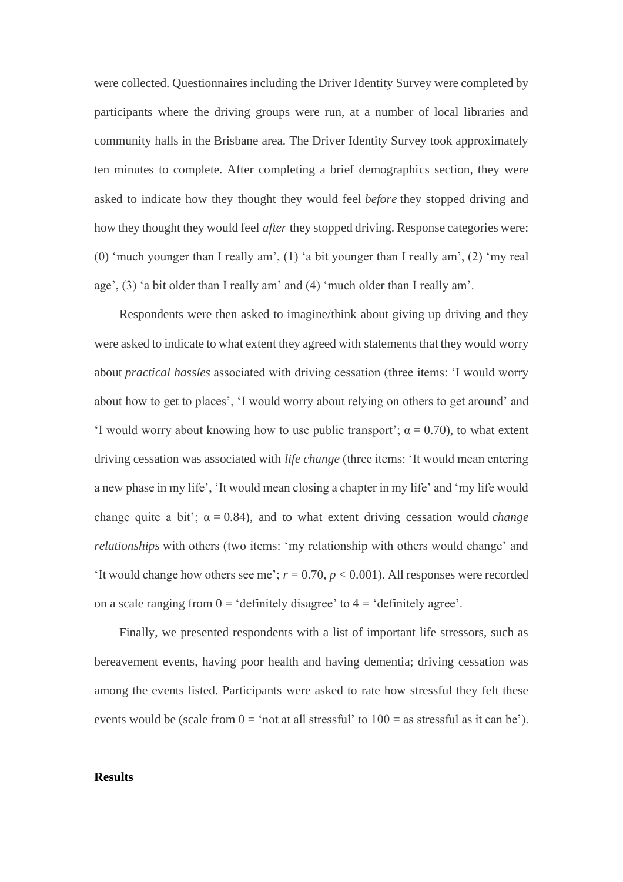were collected. Questionnaires including the Driver Identity Survey were completed by participants where the driving groups were run, at a number of local libraries and community halls in the Brisbane area. The Driver Identity Survey took approximately ten minutes to complete. After completing a brief demographics section, they were asked to indicate how they thought they would feel *before* they stopped driving and how they thought they would feel *after* they stopped driving. Response categories were: (0) 'much younger than I really am', (1) 'a bit younger than I really am', (2) 'my real age', (3) 'a bit older than I really am' and (4) 'much older than I really am'.

Respondents were then asked to imagine/think about giving up driving and they were asked to indicate to what extent they agreed with statements that they would worry about *practical hassles* associated with driving cessation (three items: 'I would worry about how to get to places', 'I would worry about relying on others to get around' and 'I would worry about knowing how to use public transport';  $\alpha = 0.70$ ), to what extent driving cessation was associated with *life change* (three items: 'It would mean entering a new phase in my life', 'It would mean closing a chapter in my life' and 'my life would change quite a bit';  $\alpha = 0.84$ ), and to what extent driving cessation would *change relationships* with others (two items: 'my relationship with others would change' and 'It would change how others see me';  $r = 0.70$ ,  $p < 0.001$ ). All responses were recorded on a scale ranging from  $0 = 'definitely disagree'$  to  $4 = 'definitely agree'.$ 

Finally, we presented respondents with a list of important life stressors, such as bereavement events, having poor health and having dementia; driving cessation was among the events listed. Participants were asked to rate how stressful they felt these events would be (scale from  $0 = \text{`not at all stressful' to } 100 = \text{as stressful as it can be'}$ ).

# **Results**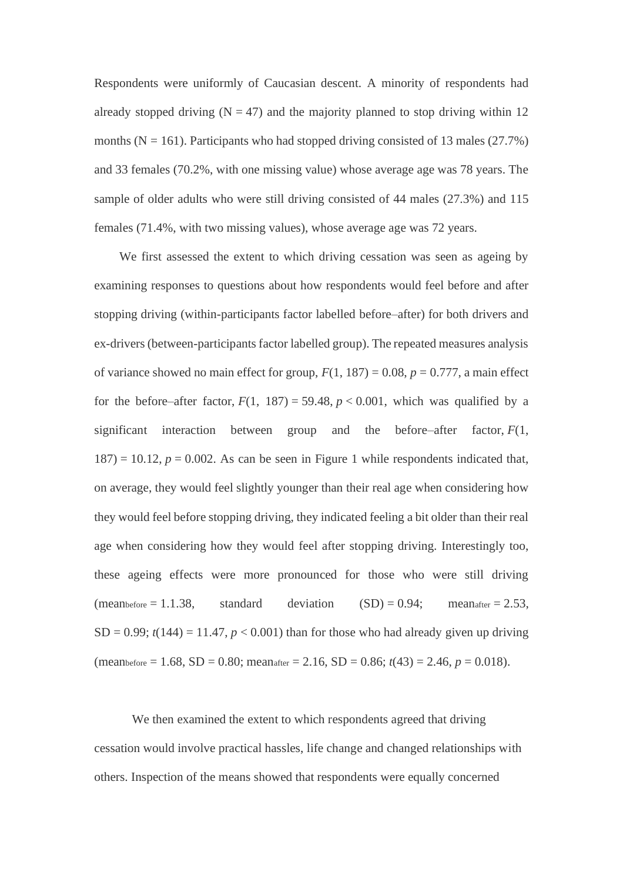Respondents were uniformly of Caucasian descent. A minority of respondents had already stopped driving  $(N = 47)$  and the majority planned to stop driving within 12 months ( $N = 161$ ). Participants who had stopped driving consisted of 13 males (27.7%) and 33 females (70.2%, with one missing value) whose average age was 78 years. The sample of older adults who were still driving consisted of 44 males (27.3%) and 115 females (71.4%, with two missing values), whose average age was 72 years.

We first assessed the extent to which driving cessation was seen as ageing by examining responses to questions about how respondents would feel before and after stopping driving (within-participants factor labelled before–after) for both drivers and ex-drivers (between-participants factor labelled group). The repeated measures analysis of variance showed no main effect for group,  $F(1, 187) = 0.08$ ,  $p = 0.777$ , a main effect for the before–after factor,  $F(1, 187) = 59.48$ ,  $p < 0.001$ , which was qualified by a significant interaction between group and the before–after factor, *F*(1,  $187$ ) = 10.12,  $p = 0.002$ . As can be seen in Figure 1 while respondents indicated that, on average, they would feel slightly younger than their real age when considering how they would feel before stopping driving, they indicated feeling a bit older than their real age when considering how they would feel after stopping driving. Interestingly too, these ageing effects were more pronounced for those who were still driving  $(meanbefore = 1.1.38, standard deviation (SD) = 0.94; meanafter = 2.53,$  $SD = 0.99$ ;  $t(144) = 11.47$ ,  $p < 0.001$ ) than for those who had already given up driving  $(mean<sub>before</sub> = 1.68, SD = 0.80; mean<sub>after</sub> = 2.16, SD = 0.86; t(43) = 2.46, p = 0.018).$ 

We then examined the extent to which respondents agreed that driving cessation would involve practical hassles, life change and changed relationships with others. Inspection of the means showed that respondents were equally concerned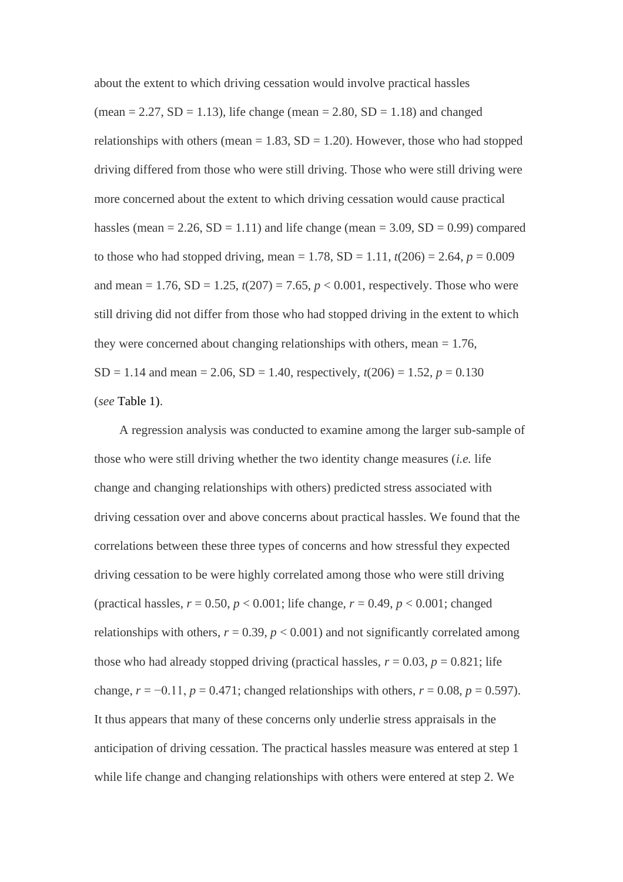about the extent to which driving cessation would involve practical hassles (mean = 2.27, SD = 1.13), life change (mean = 2.80, SD = 1.18) and changed relationships with others (mean  $= 1.83$ , SD  $= 1.20$ ). However, those who had stopped driving differed from those who were still driving. Those who were still driving were more concerned about the extent to which driving cessation would cause practical hassles (mean =  $2.26$ , SD =  $1.11$ ) and life change (mean =  $3.09$ , SD =  $0.99$ ) compared to those who had stopped driving, mean = 1.78,  $SD = 1.11$ ,  $t(206) = 2.64$ ,  $p = 0.009$ and mean =  $1.76$ , SD =  $1.25$ ,  $t(207) = 7.65$ ,  $p < 0.001$ , respectively. Those who were still driving did not differ from those who had stopped driving in the extent to which they were concerned about changing relationships with others, mean  $= 1.76$ , SD = 1.14 and mean = 2.06, SD = 1.40, respectively,  $t(206) = 1.52$ ,  $p = 0.130$ (*see* Table 1).

A regression analysis was conducted to examine among the larger sub-sample of those who were still driving whether the two identity change measures (*i.e.* life change and changing relationships with others) predicted stress associated with driving cessation over and above concerns about practical hassles. We found that the correlations between these three types of concerns and how stressful they expected driving cessation to be were highly correlated among those who were still driving (practical hassles,  $r = 0.50$ ,  $p < 0.001$ ; life change,  $r = 0.49$ ,  $p < 0.001$ ; changed relationships with others,  $r = 0.39$ ,  $p < 0.001$ ) and not significantly correlated among those who had already stopped driving (practical hassles,  $r = 0.03$ ,  $p = 0.821$ ; life change,  $r = -0.11$ ,  $p = 0.471$ ; changed relationships with others,  $r = 0.08$ ,  $p = 0.597$ ). It thus appears that many of these concerns only underlie stress appraisals in the anticipation of driving cessation. The practical hassles measure was entered at step 1 while life change and changing relationships with others were entered at step 2. We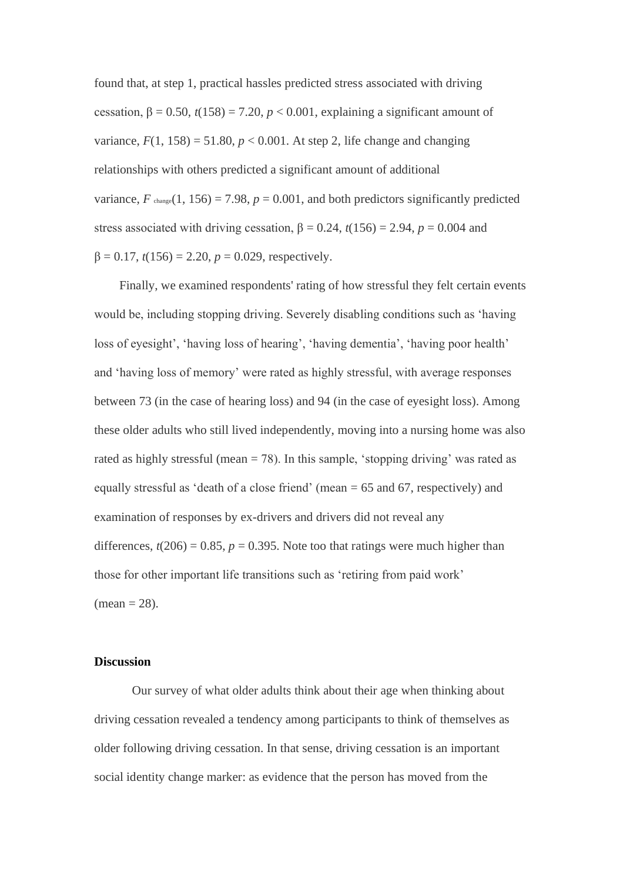found that, at step 1, practical hassles predicted stress associated with driving cessation,  $\beta = 0.50$ ,  $t(158) = 7.20$ ,  $p < 0.001$ , explaining a significant amount of variance,  $F(1, 158) = 51.80$ ,  $p < 0.001$ . At step 2, life change and changing relationships with others predicted a significant amount of additional variance,  $F_{\text{change}}(1, 156) = 7.98$ ,  $p = 0.001$ , and both predictors significantly predicted stress associated with driving cessation,  $\beta = 0.24$ ,  $t(156) = 2.94$ ,  $p = 0.004$  and  $β = 0.17$ ,  $t(156) = 2.20$ ,  $p = 0.029$ , respectively.

Finally, we examined respondents' rating of how stressful they felt certain events would be, including stopping driving. Severely disabling conditions such as 'having loss of eyesight', 'having loss of hearing', 'having dementia', 'having poor health' and 'having loss of memory' were rated as highly stressful, with average responses between 73 (in the case of hearing loss) and 94 (in the case of eyesight loss). Among these older adults who still lived independently, moving into a nursing home was also rated as highly stressful (mean  $= 78$ ). In this sample, 'stopping driving' was rated as equally stressful as 'death of a close friend' (mean = 65 and 67, respectively) and examination of responses by ex-drivers and drivers did not reveal any differences,  $t(206) = 0.85$ ,  $p = 0.395$ . Note too that ratings were much higher than those for other important life transitions such as 'retiring from paid work'  $(\text{mean} = 28)$ .

# **Discussion**

Our survey of what older adults think about their age when thinking about driving cessation revealed a tendency among participants to think of themselves as older following driving cessation. In that sense, driving cessation is an important social identity change marker: as evidence that the person has moved from the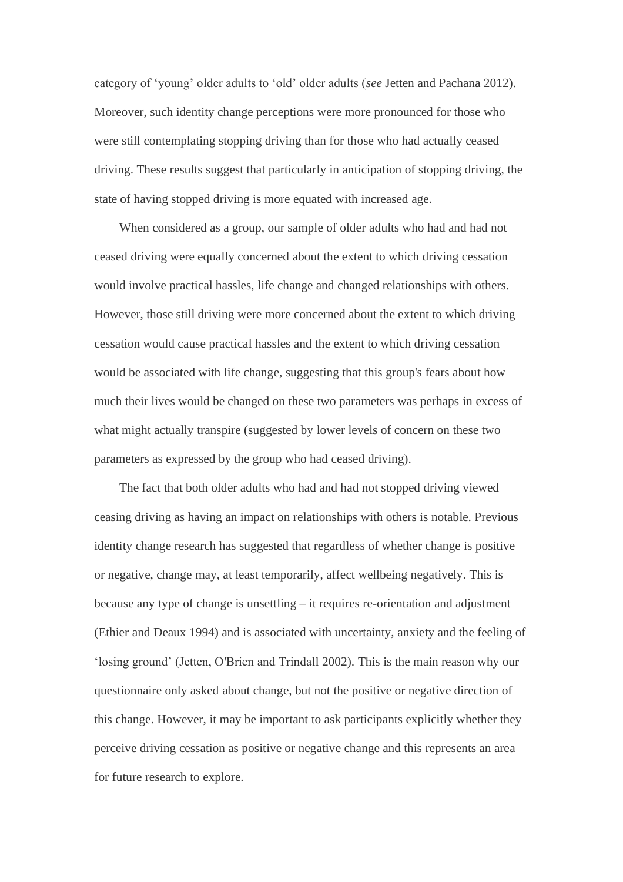category of 'young' older adults to 'old' older adults (*see* Jetten and Pachana 2012). Moreover, such identity change perceptions were more pronounced for those who were still contemplating stopping driving than for those who had actually ceased driving. These results suggest that particularly in anticipation of stopping driving, the state of having stopped driving is more equated with increased age.

When considered as a group, our sample of older adults who had and had not ceased driving were equally concerned about the extent to which driving cessation would involve practical hassles, life change and changed relationships with others. However, those still driving were more concerned about the extent to which driving cessation would cause practical hassles and the extent to which driving cessation would be associated with life change, suggesting that this group's fears about how much their lives would be changed on these two parameters was perhaps in excess of what might actually transpire (suggested by lower levels of concern on these two parameters as expressed by the group who had ceased driving).

The fact that both older adults who had and had not stopped driving viewed ceasing driving as having an impact on relationships with others is notable. Previous identity change research has suggested that regardless of whether change is positive or negative, change may, at least temporarily, affect wellbeing negatively. This is because any type of change is unsettling – it requires re-orientation and adjustment (Ethier and Deaux 1994) and is associated with uncertainty, anxiety and the feeling of 'losing ground' (Jetten, O'Brien and Trindall 2002). This is the main reason why our questionnaire only asked about change, but not the positive or negative direction of this change. However, it may be important to ask participants explicitly whether they perceive driving cessation as positive or negative change and this represents an area for future research to explore.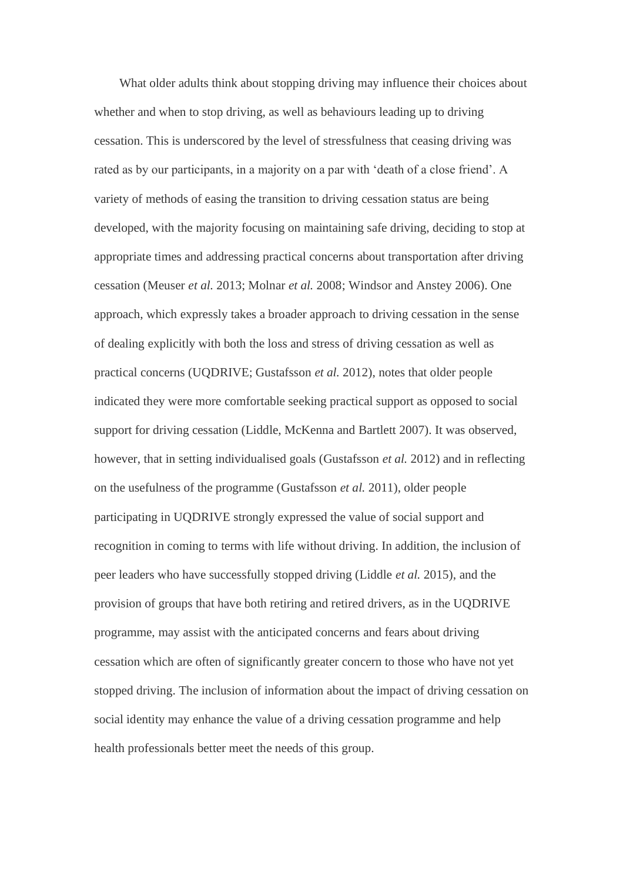What older adults think about stopping driving may influence their choices about whether and when to stop driving, as well as behaviours leading up to driving cessation. This is underscored by the level of stressfulness that ceasing driving was rated as by our participants, in a majority on a par with 'death of a close friend'. A variety of methods of easing the transition to driving cessation status are being developed, with the majority focusing on maintaining safe driving, deciding to stop at appropriate times and addressing practical concerns about transportation after driving cessation (Meuser *et al.* 2013; Molnar *et al.* 2008; Windsor and Anstey 2006). One approach, which expressly takes a broader approach to driving cessation in the sense of dealing explicitly with both the loss and stress of driving cessation as well as practical concerns (UQDRIVE; Gustafsson *et al.* 2012), notes that older people indicated they were more comfortable seeking practical support as opposed to social support for driving cessation (Liddle, McKenna and Bartlett 2007). It was observed, however, that in setting individualised goals (Gustafsson *et al.* 2012) and in reflecting on the usefulness of the programme (Gustafsson *et al.* 2011), older people participating in UQDRIVE strongly expressed the value of social support and recognition in coming to terms with life without driving. In addition, the inclusion of peer leaders who have successfully stopped driving (Liddle *et al.* 2015), and the provision of groups that have both retiring and retired drivers, as in the UQDRIVE programme, may assist with the anticipated concerns and fears about driving cessation which are often of significantly greater concern to those who have not yet stopped driving. The inclusion of information about the impact of driving cessation on social identity may enhance the value of a driving cessation programme and help health professionals better meet the needs of this group.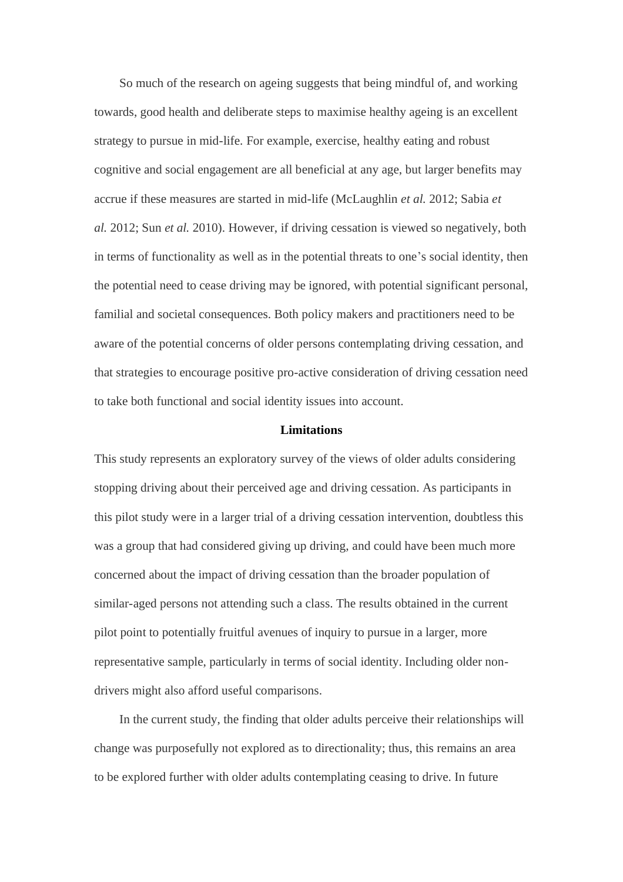So much of the research on ageing suggests that being mindful of, and working towards, good health and deliberate steps to maximise healthy ageing is an excellent strategy to pursue in mid-life. For example, exercise, healthy eating and robust cognitive and social engagement are all beneficial at any age, but larger benefits may accrue if these measures are started in mid-life (McLaughlin *et al.* 2012; Sabia *et al.* 2012; Sun *et al.* 2010). However, if driving cessation is viewed so negatively, both in terms of functionality as well as in the potential threats to one's social identity, then the potential need to cease driving may be ignored, with potential significant personal, familial and societal consequences. Both policy makers and practitioners need to be aware of the potential concerns of older persons contemplating driving cessation, and that strategies to encourage positive pro-active consideration of driving cessation need to take both functional and social identity issues into account.

### **Limitations**

This study represents an exploratory survey of the views of older adults considering stopping driving about their perceived age and driving cessation. As participants in this pilot study were in a larger trial of a driving cessation intervention, doubtless this was a group that had considered giving up driving, and could have been much more concerned about the impact of driving cessation than the broader population of similar-aged persons not attending such a class. The results obtained in the current pilot point to potentially fruitful avenues of inquiry to pursue in a larger, more representative sample, particularly in terms of social identity. Including older nondrivers might also afford useful comparisons.

In the current study, the finding that older adults perceive their relationships will change was purposefully not explored as to directionality; thus, this remains an area to be explored further with older adults contemplating ceasing to drive. In future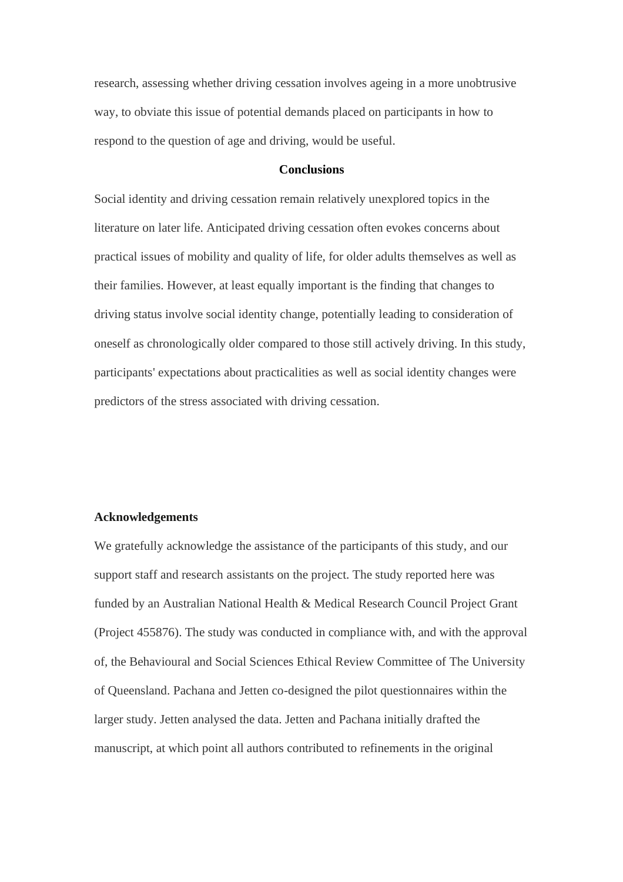research, assessing whether driving cessation involves ageing in a more unobtrusive way, to obviate this issue of potential demands placed on participants in how to respond to the question of age and driving, would be useful.

### **Conclusions**

Social identity and driving cessation remain relatively unexplored topics in the literature on later life. Anticipated driving cessation often evokes concerns about practical issues of mobility and quality of life, for older adults themselves as well as their families. However, at least equally important is the finding that changes to driving status involve social identity change, potentially leading to consideration of oneself as chronologically older compared to those still actively driving. In this study, participants' expectations about practicalities as well as social identity changes were predictors of the stress associated with driving cessation.

#### **Acknowledgements**

We gratefully acknowledge the assistance of the participants of this study, and our support staff and research assistants on the project. The study reported here was funded by an Australian National Health & Medical Research Council Project Grant (Project 455876). The study was conducted in compliance with, and with the approval of, the Behavioural and Social Sciences Ethical Review Committee of The University of Queensland. Pachana and Jetten co-designed the pilot questionnaires within the larger study. Jetten analysed the data. Jetten and Pachana initially drafted the manuscript, at which point all authors contributed to refinements in the original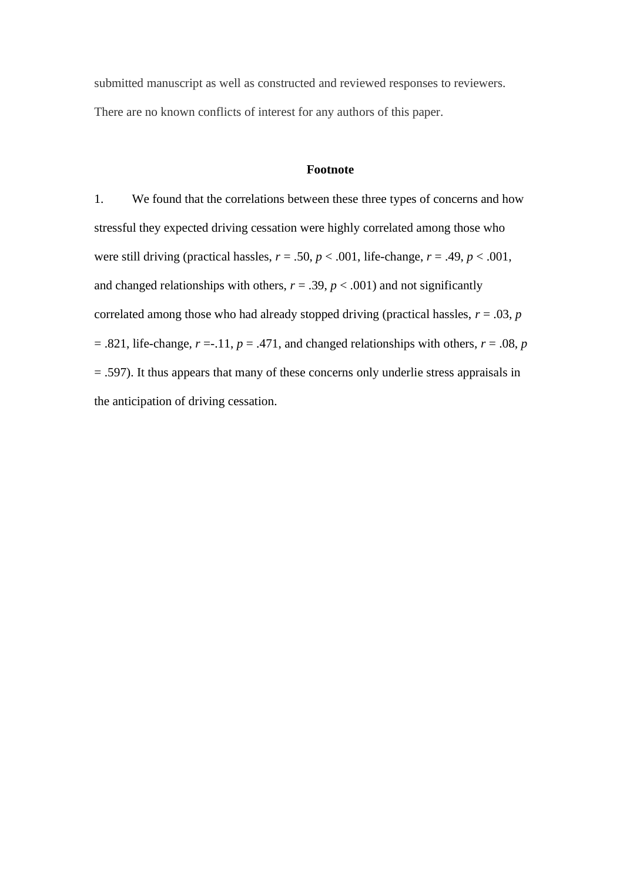submitted manuscript as well as constructed and reviewed responses to reviewers. There are no known conflicts of interest for any authors of this paper.

### **Footnote**

1. We found that the correlations between these three types of concerns and how stressful they expected driving cessation were highly correlated among those who were still driving (practical hassles,  $r = .50$ ,  $p < .001$ , life-change,  $r = .49$ ,  $p < .001$ , and changed relationships with others,  $r = .39$ ,  $p < .001$ ) and not significantly correlated among those who had already stopped driving (practical hassles,  $r = .03$ ,  $p = .03$  $=$  .821, life-change,  $r = -11$ ,  $p = .471$ , and changed relationships with others,  $r = .08$ ,  $p = .08$ = .597). It thus appears that many of these concerns only underlie stress appraisals in the anticipation of driving cessation.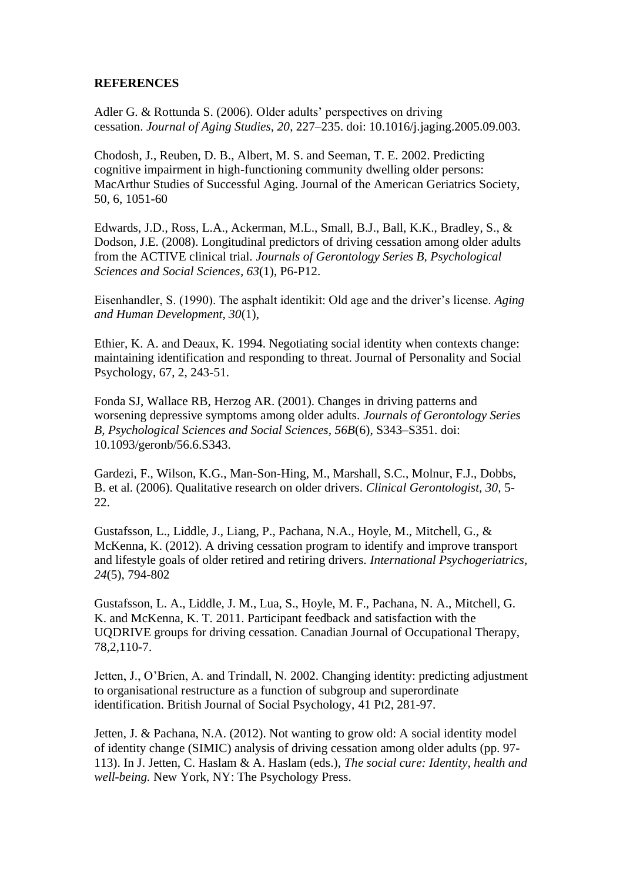# **REFERENCES**

Adler G. & Rottunda S. (2006). Older adults' perspectives on driving cessation. *Journal of Aging Studies, 20*, 227–235. doi: 10.1016/j.jaging.2005.09.003.

Chodosh, J., Reuben, D. B., Albert, M. S. and Seeman, T. E. 2002. Predicting cognitive impairment in high-functioning community dwelling older persons: MacArthur Studies of Successful Aging. Journal of the American Geriatrics Society, 50, 6, 1051-60

Edwards, J.D., Ross, L.A., Ackerman, M.L., Small, B.J., Ball, K.K., Bradley, S., & Dodson, J.E. (2008). Longitudinal predictors of driving cessation among older adults from the ACTIVE clinical trial. *Journals of Gerontology Series B, Psychological Sciences and Social Sciences, 63*(1), P6-P12.

Eisenhandler, S. (1990). The asphalt identikit: Old age and the driver's license. *Aging and Human Development, 30*(1),

Ethier, K. A. and Deaux, K. 1994. Negotiating social identity when contexts change: maintaining identification and responding to threat. Journal of Personality and Social Psychology, 67, 2, 243-51.

Fonda SJ, Wallace RB, Herzog AR. (2001). Changes in driving patterns and worsening depressive symptoms among older adults. *Journals of Gerontology Series B, Psychological Sciences and Social Sciences, 56B*(6), S343–S351. doi: 10.1093/geronb/56.6.S343.

Gardezi, F., Wilson, K.G., Man-Son-Hing, M., Marshall, S.C., Molnur, F.J., Dobbs, B. et al. (2006). Qualitative research on older drivers. *Clinical Gerontologist, 30,* 5- 22.

Gustafsson, L., Liddle, J., Liang, P., Pachana, N.A., Hoyle, M., Mitchell, G., & McKenna, K. (2012). A driving cessation program to identify and improve transport and lifestyle goals of older retired and retiring drivers. *International Psychogeriatrics, 24*(5), 794-802

Gustafsson, L. A., Liddle, J. M., Lua, S., Hoyle, M. F., Pachana, N. A., Mitchell, G. K. and McKenna, K. T. 2011. Participant feedback and satisfaction with the UQDRIVE groups for driving cessation. Canadian Journal of Occupational Therapy, 78,2,110-7.

Jetten, J., O'Brien, A. and Trindall, N. 2002. Changing identity: predicting adjustment to organisational restructure as a function of subgroup and superordinate identification. British Journal of Social Psychology, 41 Pt2, 281-97.

Jetten, J. & Pachana, N.A. (2012). Not wanting to grow old: A social identity model of identity change (SIMIC) analysis of driving cessation among older adults (pp. 97- 113). In J. Jetten, C. Haslam & A. Haslam (eds.), *The social cure: Identity, health and well-being.* New York, NY: The Psychology Press.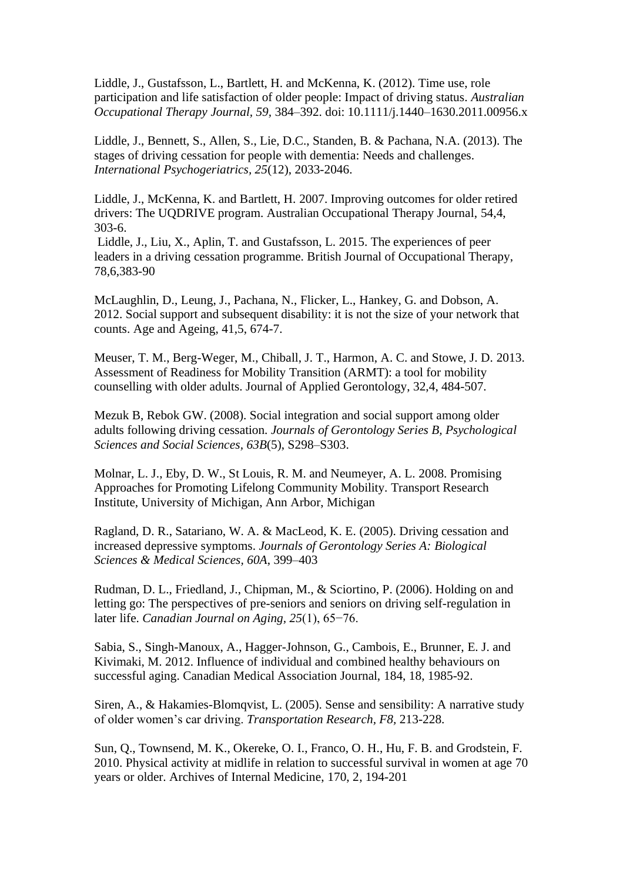Liddle, J., Gustafsson, L., Bartlett, H. and McKenna, K. (2012). Time use, role participation and life satisfaction of older people: Impact of driving status. *Australian Occupational Therapy Journal, 59,* 384–392. doi: 10.1111/j.1440–1630.2011.00956.x

Liddle, J., Bennett, S., Allen, S., Lie, D.C., Standen, B. & Pachana, N.A. (2013). The stages of driving cessation for people with dementia: Needs and challenges. *International Psychogeriatrics, 25*(12), 2033-2046.

Liddle, J., McKenna, K. and Bartlett, H. 2007. Improving outcomes for older retired drivers: The UQDRIVE program. Australian Occupational Therapy Journal, 54,4, 303-6.

Liddle, J., Liu, X., Aplin, T. and Gustafsson, L. 2015. The experiences of peer leaders in a driving cessation programme. British Journal of Occupational Therapy, 78,6,383-90

McLaughlin, D., Leung, J., Pachana, N., Flicker, L., Hankey, G. and Dobson, A. 2012. Social support and subsequent disability: it is not the size of your network that counts. Age and Ageing, 41,5, 674-7.

Meuser, T. M., Berg-Weger, M., Chiball, J. T., Harmon, A. C. and Stowe, J. D. 2013. Assessment of Readiness for Mobility Transition (ARMT): a tool for mobility counselling with older adults. Journal of Applied Gerontology, 32,4, 484-507.

Mezuk B, Rebok GW. (2008). Social integration and social support among older adults following driving cessation. *Journals of Gerontology Series B, Psychological Sciences and Social Sciences, 63B*(5), S298–S303.

Molnar, L. J., Eby, D. W., St Louis, R. M. and Neumeyer, A. L. 2008. Promising Approaches for Promoting Lifelong Community Mobility. Transport Research Institute, University of Michigan, Ann Arbor, Michigan

Ragland, D. R., Satariano, W. A. & MacLeod, K. E. (2005). Driving cessation and increased depressive symptoms. *Journals of Gerontology Series A: Biological Sciences & Medical Sciences, 60A*, 399–403

Rudman, D. L., Friedland, J., Chipman, M., & Sciortino, P. (2006). Holding on and letting go: The perspectives of pre-seniors and seniors on driving self-regulation in later life. *Canadian Journal on Aging, 25*(1), 65−76.

Sabia, S., Singh-Manoux, A., Hagger-Johnson, G., Cambois, E., Brunner, E. J. and Kivimaki, M. 2012. Influence of individual and combined healthy behaviours on successful aging. Canadian Medical Association Journal, 184, 18, 1985-92.

Siren, A., & Hakamies-Blomqvist, L. (2005). Sense and sensibility: A narrative study of older women's car driving. *Transportation Research, F8,* 213-228.

Sun, Q., Townsend, M. K., Okereke, O. I., Franco, O. H., Hu, F. B. and Grodstein, F. 2010. Physical activity at midlife in relation to successful survival in women at age 70 years or older. Archives of Internal Medicine, 170, 2, 194-201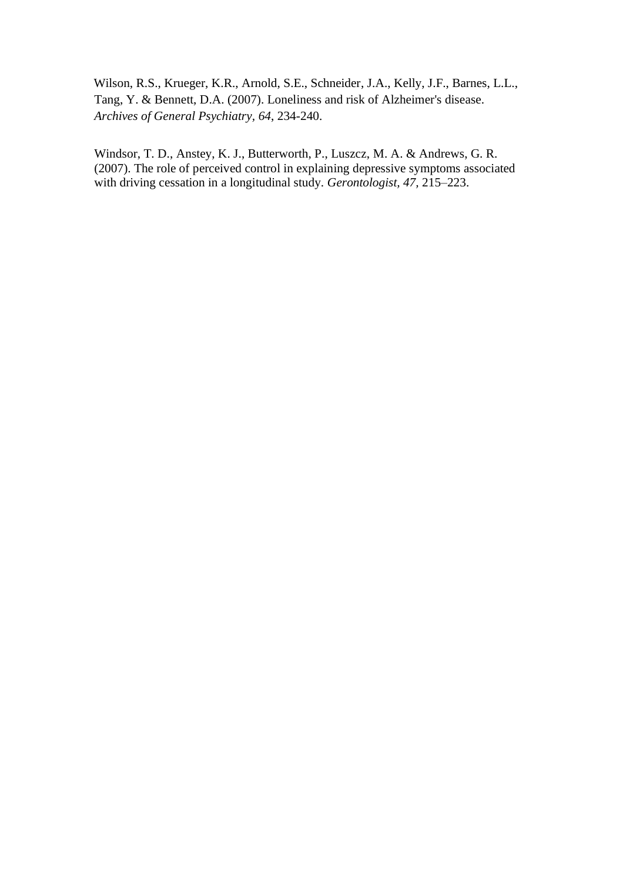Wilson, R.S., Krueger, K.R., Arnold, S.E., Schneider, J.A., Kelly, J.F., Barnes, L.L., Tang, Y. & Bennett, D.A. (2007). Loneliness and risk of Alzheimer's disease. *Archives of General Psychiatry, 64*, 234-240.

Windsor, T. D., Anstey, K. J., Butterworth, P., Luszcz, M. A. & Andrews, G. R. (2007). The role of perceived control in explaining depressive symptoms associated with driving cessation in a longitudinal study. *Gerontologist, 47,* 215–223.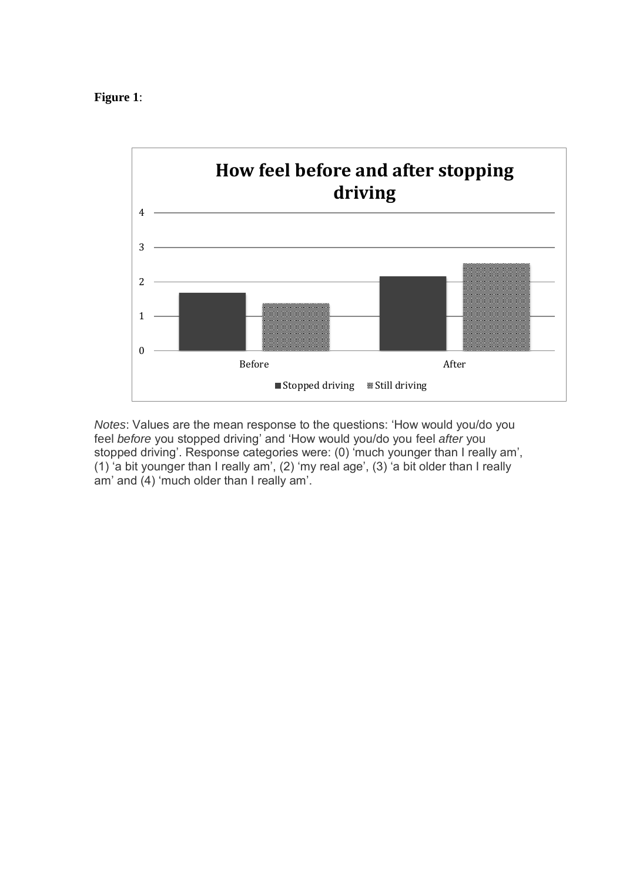# **Figure 1**:



*Notes*: Values are the mean response to the questions: 'How would you/do you feel *before* you stopped driving' and 'How would you/do you feel *after* you stopped driving'. Response categories were: (0) 'much younger than I really am', (1) 'a bit younger than I really am', (2) 'my real age', (3) 'a bit older than I really am' and (4) 'much older than I really am'.